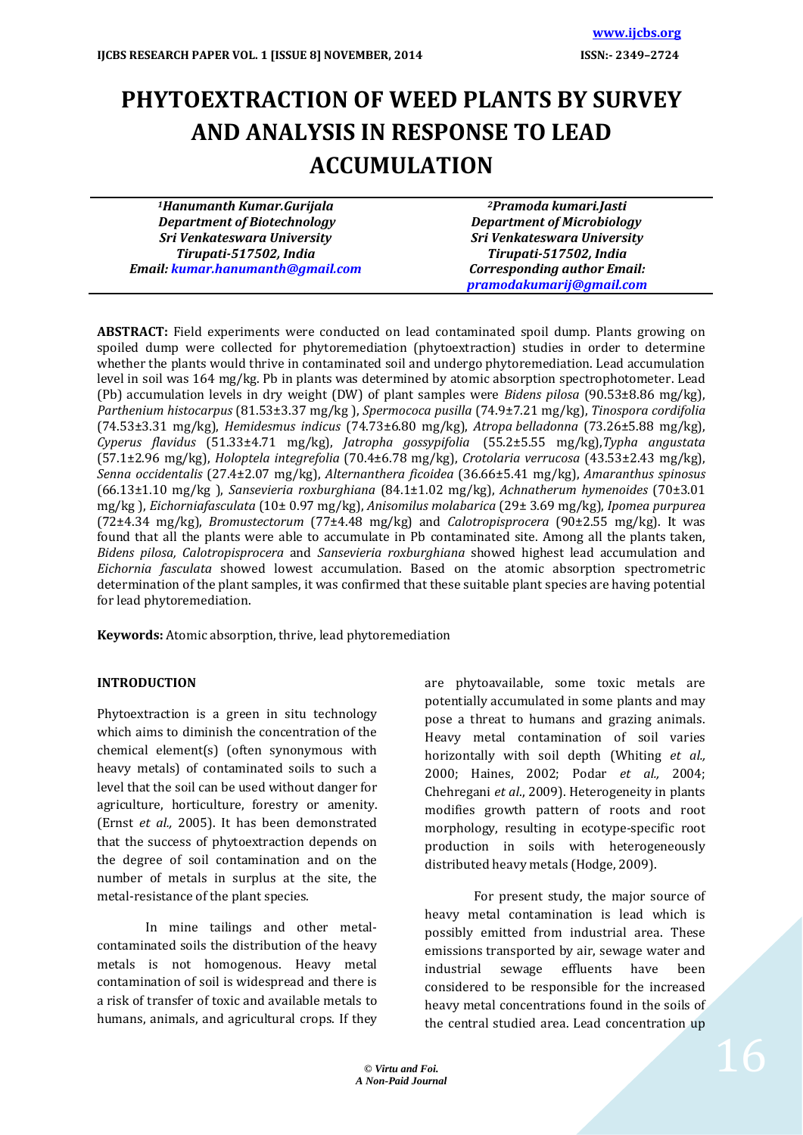# **PHYTOEXTRACTION OF WEED PLANTS BY SURVEY AND ANALYSIS IN RESPONSE TO LEAD ACCUMULATION**

*<sup>1</sup>Hanumanth Kumar.Gurijala Department of Biotechnology Sri Venkateswara University Tirupati-517502, India Email: [kumar.hanumanth@gmail.com](mailto:kumar.hanumanth@gmail.com)*

*<sup>2</sup>Pramoda kumari.Jasti Department of Microbiology Sri Venkateswara University Tirupati-517502, India Corresponding author Email: [pramodakumarij@gmail.com](mailto:pramodakumarij@gmail.com)*

**ABSTRACT:** Field experiments were conducted on lead contaminated spoil dump. Plants growing on spoiled dump were collected for phytoremediation (phytoextraction) studies in order to determine whether the plants would thrive in contaminated soil and undergo phytoremediation. Lead accumulation level in soil was 164 mg/kg. Pb in plants was determined by atomic absorption spectrophotometer. Lead (Pb) accumulation levels in dry weight (DW) of plant samples were *Bidens pilosa* (90.53±8.86 mg/kg), *Parthenium histocarpus* (81.53±3.37 mg/kg ), *Spermococa pusilla* (74.9±7.21 mg/kg), *Tinospora cordifolia* (74.53±3.31 mg/kg), *Hemidesmus indicus* (74.73±6.80 mg/kg), *Atropa belladonna* (73.26±5.88 mg/kg), *Cyperus flavidus* (51.33±4.71 mg/kg), *Jatropha gossypifolia* (55.2±5.55 mg/kg),*Typha angustata* (57.1±2.96 mg/kg), *Holoptela integrefolia* (70.4±6.78 mg/kg), *Crotolaria verrucosa* (43.53±2.43 mg/kg), *Senna occidentalis* (27.4±2.07 mg/kg), *Alternanthera ficoidea* (36.66±5.41 mg/kg), *Amaranthus spinosus* (66.13±1.10 mg/kg ), *Sansevieria roxburghiana* (84.1±1.02 mg/kg), *Achnatherum hymenoides* (70±3.01 mg/kg ), *Eichorniafasculata* (10± 0.97 mg/kg), *Anisomilus molabarica* (29± 3.69 mg/kg), *Ipomea purpurea* (72±4.34 mg/kg), *Bromustectorum* (77±4.48 mg/kg) and *Calotropisprocera* (90±2.55 mg/kg). It was found that all the plants were able to accumulate in Pb contaminated site. Among all the plants taken, *Bidens pilosa, Calotropisprocera* and *Sansevieria roxburghiana* showed highest lead accumulation and *Eichornia fasculata* showed lowest accumulation. Based on the atomic absorption spectrometric determination of the plant samples, it was confirmed that these suitable plant species are having potential for lead phytoremediation.

**Keywords:** Atomic absorption, thrive, lead phytoremediation

# **INTRODUCTION**

Phytoextraction is a green in situ technology which aims to diminish the concentration of the chemical element(s) (often synonymous with heavy metals) of contaminated soils to such a level that the soil can be used without danger for agriculture, horticulture, forestry or amenity. (Ernst *et al.,* 2005). It has been demonstrated that the success of phytoextraction depends on the degree of soil contamination and on the number of metals in surplus at the site, the metal-resistance of the plant species.

In mine tailings and other metalcontaminated soils the distribution of the heavy metals is not homogenous. Heavy metal contamination of soil is widespread and there is a risk of transfer of toxic and available metals to humans, animals, and agricultural crops. If they are phytoavailable, some toxic metals are potentially accumulated in some plants and may pose a threat to humans and grazing animals. Heavy metal contamination of soil varies horizontally with soil depth (Whiting *et al.,* 2000; Haines, 2002; Podar *et al.,* 2004; Chehregani *et al*., 2009). Heterogeneity in plants modifies growth pattern of roots and root morphology, resulting in ecotype-specific root production in soils with heterogeneously distributed heavy metals (Hodge, 2009).

For present study, the major source of heavy metal contamination is lead which is possibly emitted from industrial area. These emissions transported by air, sewage water and industrial sewage effluents have been considered to be responsible for the increased heavy metal concentrations found in the soils of the central studied area. Lead concentration up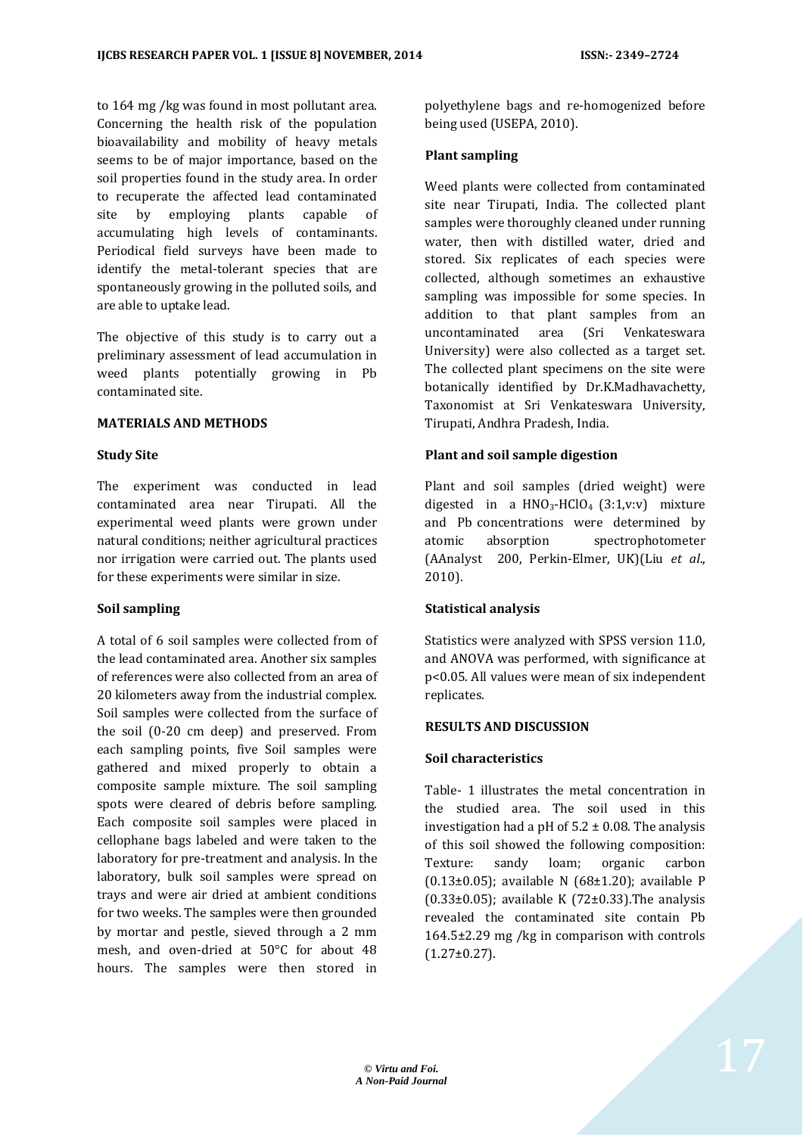to 164 mg /kg was found in most pollutant area. Concerning the health risk of the population bioavailability and mobility of heavy metals seems to be of major importance, based on the soil properties found in the study area. In order to recuperate the affected lead contaminated site by employing plants capable of accumulating high levels of contaminants. Periodical field surveys have been made to identify the metal-tolerant species that are spontaneously growing in the polluted soils, and are able to uptake lead.

The objective of this study is to carry out a preliminary assessment of lead accumulation in weed plants potentially growing in Pb contaminated site.

# **MATERIALS AND METHODS**

#### **Study Site**

The experiment was conducted in lead contaminated area near Tirupati. All the experimental weed plants were grown under natural conditions; neither agricultural practices nor irrigation were carried out. The plants used for these experiments were similar in size.

# **Soil sampling**

A total of 6 soil samples were collected from of the lead contaminated area. Another six samples of references were also collected from an area of 20 kilometers away from the industrial complex. Soil samples were collected from the surface of the soil (0-20 cm deep) and preserved. From each sampling points, five Soil samples were gathered and mixed properly to obtain a composite sample mixture. The soil sampling spots were cleared of debris before sampling. Each composite soil samples were placed in cellophane bags labeled and were taken to the laboratory for pre-treatment and analysis. In the laboratory, bulk soil samples were spread on trays and were air dried at ambient conditions for two weeks. The samples were then grounded by mortar and pestle, sieved through a 2 mm mesh, and oven-dried at 50°C for about 48 hours. The samples were then stored in polyethylene bags and re-homogenized before being used (USEPA, 2010).

#### **Plant sampling**

Weed plants were collected from contaminated site near Tirupati, India. The collected plant samples were thoroughly cleaned under running water, then with distilled water, dried and stored. Six replicates of each species were collected, although sometimes an exhaustive sampling was impossible for some species. In addition to that plant samples from an uncontaminated area (Sri Venkateswara University) were also collected as a target set. The collected plant specimens on the site were botanically identified by Dr.K.Madhavachetty, Taxonomist at Sri Venkateswara University, Tirupati, Andhra Pradesh, India.

# **Plant and soil sample digestion**

Plant and soil samples (dried weight) were digested in a  $HNO<sub>3</sub>-HClO<sub>4</sub>$  (3:1,v:v) mixture and Pb concentrations were determined by atomic absorption spectrophotometer (AAnalyst 200, Perkin-Elmer, UK)(Liu *et al*., 2010).

# **Statistical analysis**

Statistics were analyzed with SPSS version 11.0, and ANOVA was performed, with significance at p<0.05. All values were mean of six independent replicates.

#### **RESULTS AND DISCUSSION**

# **Soil characteristics**

Table- 1 illustrates the metal concentration in the studied area. The soil used in this investigation had a pH of  $5.2 \pm 0.08$ . The analysis of this soil showed the following composition: Texture: sandy loam; organic carbon (0.13±0.05); available N (68±1.20); available P ( $0.33\pm0.05$ ); available K ( $72\pm0.33$ ). The analysis revealed the contaminated site contain Pb 164.5±2.29 mg /kg in comparison with controls  $(1.27\pm0.27)$ .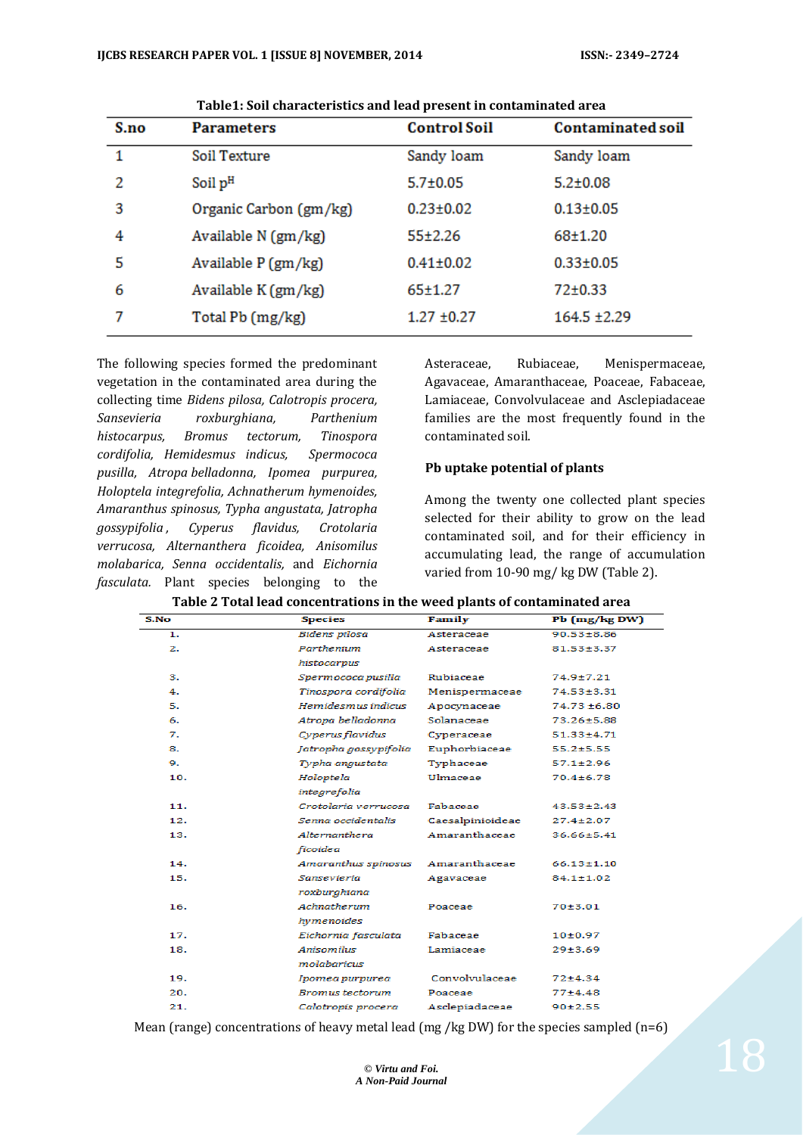| S.no | <b>Parameters</b>      | <b>Control Soil</b> | <b>Contaminated soil</b> |
|------|------------------------|---------------------|--------------------------|
| 1    | Soil Texture           | Sandy loam          | Sandy loam               |
| 2    | Soil pH                | $5.7 \pm 0.05$      | $5.2 \pm 0.08$           |
| 3    | Organic Carbon (gm/kg) | $0.23 \pm 0.02$     | $0.13 \pm 0.05$          |
| 4    | Available N (gm/kg)    | $55+2.26$           | 68±1.20                  |
| 5    | Available P (gm/kg)    | $0.41 \pm 0.02$     | $0.33 \pm 0.05$          |
| 6    | Available K (gm/kg)    | 65±1.27             | 72±0.33                  |
| 7    | Total Pb (mg/kg)       | $1.27 \pm 0.27$     | 164.5 ±2.29              |

**Table1: Soil characteristics and lead present in contaminated area**

The following species formed the predominant vegetation in the contaminated area during the collecting time *Bidens pilosa, Calotropis procera, Sansevieria roxburghiana, Parthenium histocarpus, Bromus tectorum, Tinospora cordifolia, Hemidesmus indicus, Spermococa pusilla, Atropa belladonna, Ipomea purpurea, Holoptela integrefolia, Achnatherum hymenoides, Amaranthus spinosus, Typha angustata, Jatropha gossypifolia , Cyperus flavidus, Crotolaria verrucosa, Alternanthera ficoidea, Anisomilus molabarica, Senna occidentalis,* and *Eichornia fasculata.* Plant species belonging to the Asteraceae, Rubiaceae, Menispermaceae, Agavaceae, Amaranthaceae, Poaceae, Fabaceae, Lamiaceae, Convolvulaceae and Asclepiadaceae families are the most frequently found in the contaminated soil.

#### **Pb uptake potential of plants**

Among the twenty one collected plant species selected for their ability to grow on the lead contaminated soil, and for their efficiency in accumulating lead, the range of accumulation varied from 10-90 mg/ kg DW (Table 2).

| S.No | <b>Species</b>        | Family           | Pb (mg/kg DW)    |
|------|-----------------------|------------------|------------------|
| 1.   | Bidens pilosa         | Asteraceae       | $90.53 \pm 8.86$ |
| 2.   | Parthenium            | Asteraceae       | 81.53±3.37       |
|      | histocarpus           |                  |                  |
| з.   | Spermococa pusilla    | Rubiaceae        | 74.9±7.21        |
| 4.   | Tinospora cordifolia  | Menispermaceae   | $74.53 \pm 3.31$ |
| 5.   | Hemidesmus indicus    | Apocynaceae      | $74.73 \pm 6.80$ |
| 6.   | Atropa belladonna     | Solanaceae       | 73.26±5.88       |
| 7.   | Cyperus flavidus      | Cyperaceae       | $51.33 \pm 4.71$ |
| 8.   | Jatropha gossypifolia | Euphorbiaceae    | $55.2 \pm 5.55$  |
| 9.   | Typha angustata       | Typhaceae        | $57.1 \pm 2.96$  |
| 10.  | Holoptela             | Ulmaceae         | $70.4 \pm 6.78$  |
|      | integrefolia          |                  |                  |
| 11.  | Crotolaria verrucosa  | Fabaceae         | $43.53 \pm 2.43$ |
| 12.  | Senna occidentalis    | Caesalpinioideae | $27.4 \pm 2.07$  |
| 13.  | Alternanthera         | Amaranthaceae    | $36.66 \pm 5.41$ |
|      | ficoidea              |                  |                  |
| 14.  | Amaranthus spinosus   | Amaranthaceae    | $66.13 \pm 1.10$ |
| 15.  | Sansevieria           | Agavaceae        | 84.1±1.02        |
|      | roxburghiana          |                  |                  |
| 16.  | Achnatherum           | Poaceae          | 70±3.01          |
|      | hymenoides            |                  |                  |
| 17.  | Eichornia fasculata   | Fabaceae         | 10±0.97          |
| 18.  | Anisomilus            | Lamiaceae        | 29±3.69          |
|      | molabaricus           |                  |                  |
| 19.  | Ipomea purpurea       | Convolvulaceae   | $72 + 4.34$      |
| 20.  | Bromus tectorum       | Poaceae          | $77 + 4.48$      |
| 21.  | Calotropis procera    | Asclepiadaceae   | 90±2.55          |

**Table 2 Total lead concentrations in the weed plants of contaminated area**

Mean (range) concentrations of heavy metal lead (mg /kg DW) for the species sampled (n=6)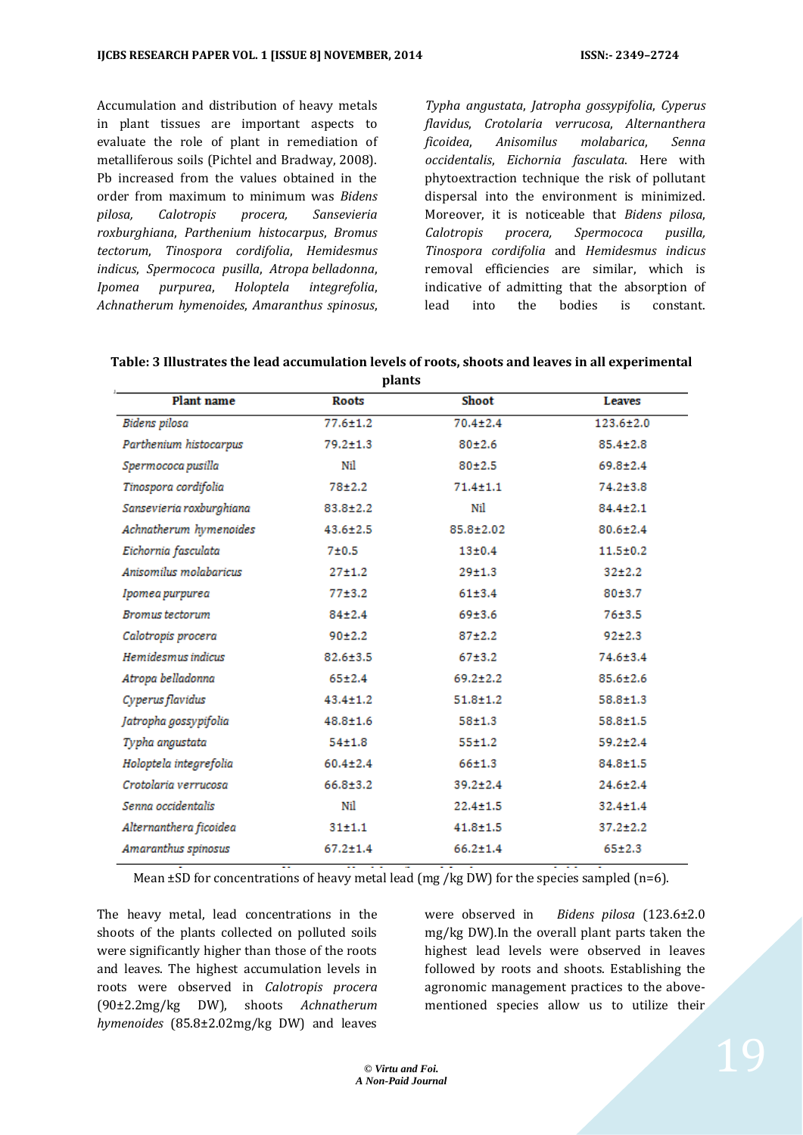Accumulation and distribution of heavy metals in plant tissues are important aspects to evaluate the role of plant in remediation of metalliferous soils (Pichtel and Bradway, 2008). Pb increased from the values obtained in the order from maximum to minimum was *Bidens pilosa, Calotropis procera, Sansevieria roxburghiana*, *Parthenium histocarpus*, *Bromus tectorum*, *Tinospora cordifolia*, *Hemidesmus indicus*, *Spermococa pusilla*, *Atropa belladonna*, *Ipomea purpurea*, *Holoptela integrefolia*, *Achnatherum hymenoides*, *Amaranthus spinosus*,

*Typha angustata*, *Jatropha gossypifolia*, *Cyperus flavidus*, *Crotolaria verrucosa*, *Alternanthera ficoidea*, *Anisomilus molabarica*, *Senna occidentalis*, *Eichornia fasculata*. Here with phytoextraction technique the risk of pollutant dispersal into the environment is minimized. Moreover, it is noticeable that *Bidens pilosa*, *Calotropis procera, Spermococa pusilla, Tinospora cordifolia* and *Hemidesmus indicus* removal efficiencies are similar, which is indicative of admitting that the absorption of lead into the bodies is constant.

|                          | рино           |                |                 |
|--------------------------|----------------|----------------|-----------------|
| Plant name               | <b>Roots</b>   | Shoot          | Leaves          |
| Bidens pilosa            | $77.6 \pm 1.2$ | $70.4 \pm 2.4$ | $123.6 \pm 2.0$ |
| Parthenium histocarpus   | $79.2 \pm 1.3$ | $80 + 2.6$     | $85.4 \pm 2.8$  |
| Spermococa pusilla       | Nil            | $80 + 2.5$     | $69.8 \pm 2.4$  |
| Tinospora cordifolia     | $78 + 2.2$     | $71.4 \pm 1.1$ | $74.2 \pm 3.8$  |
| Sansevieria roxburghiana | $83.8 \pm 2.2$ | Nil            | $84.4 \pm 2.1$  |
| Achnatherum hymenoides   | $43.6 \pm 2.5$ | 85.8±2.02      | $80.6 \pm 2.4$  |
| Eichornia fasculata      | $7 + 0.5$      | 13±0.4         | $11.5 \pm 0.2$  |
| Anisomilus molabaricus   | $27 + 1.2$     | $29 + 1.3$     | $32+2.2$        |
| Ipomea purpurea          | $77 + 3.2$     | 61±3.4         | $80 + 3.7$      |
| <b>Bromus</b> tectorum   | $84 + 2.4$     | 69±3.6         | $76 + 3.5$      |
| Calotropis procera       | 90±2.2         | $87 + 2.2$     | 92±2.3          |
| Hemidesmus indicus       | $82.6 \pm 3.5$ | $67 + 3.2$     | 74.6±3.4        |
| Atropa belladonna        | $65 \pm 2.4$   | $69.2 \pm 2.2$ | $85.6 \pm 2.6$  |
| Cyperus flavidus         | $43.4 \pm 1.2$ | $51.8 \pm 1.2$ | $58.8 \pm 1.3$  |
| Jatropha gossypifolia    | $48.8 \pm 1.6$ | $58 + 1.3$     | $58.8 \pm 1.5$  |
| Typha angustata          | $54 + 1.8$     | 55±1.2         | $59.2 \pm 2.4$  |
| Holoptela integrefolia   | $60.4 \pm 2.4$ | $66 + 1.3$     | $84.8 \pm 1.5$  |
| Crotolaria verrucosa     | $66.8 \pm 3.2$ | $39.2 \pm 2.4$ | $24.6 \pm 2.4$  |
| Senna occidentalis       | Nil            | $22.4 \pm 1.5$ | $32.4 \pm 1.4$  |
| Alternanthera ficoidea   | 31±1.1         | $41.8 \pm 1.5$ | $37.2 \pm 2.2$  |
| Amaranthus spinosus      | $67.2 \pm 1.4$ | $66.2 \pm 1.4$ | $65 + 2.3$      |
|                          |                |                |                 |

| Table: 3 Illustrates the lead accumulation levels of roots, shoots and leaves in all experimental |  |
|---------------------------------------------------------------------------------------------------|--|
| nlante                                                                                            |  |

Mean  $\pm$ SD for concentrations of heavy metal lead (mg /kg DW) for the species sampled (n=6).

The heavy metal, lead concentrations in the shoots of the plants collected on polluted soils were significantly higher than those of the roots and leaves. The highest accumulation levels in roots were observed in *Calotropis procera*  (90±2.2mg/kg DW), shoots *Achnatherum hymenoides* (85.8±2.02mg/kg DW) and leaves

were observed in *Bidens pilosa* (123.6±2.0 mg/kg DW)*.*In the overall plant parts taken the highest lead levels were observed in leaves followed by roots and shoots. Establishing the agronomic management practices to the abovementioned species allow us to utilize their